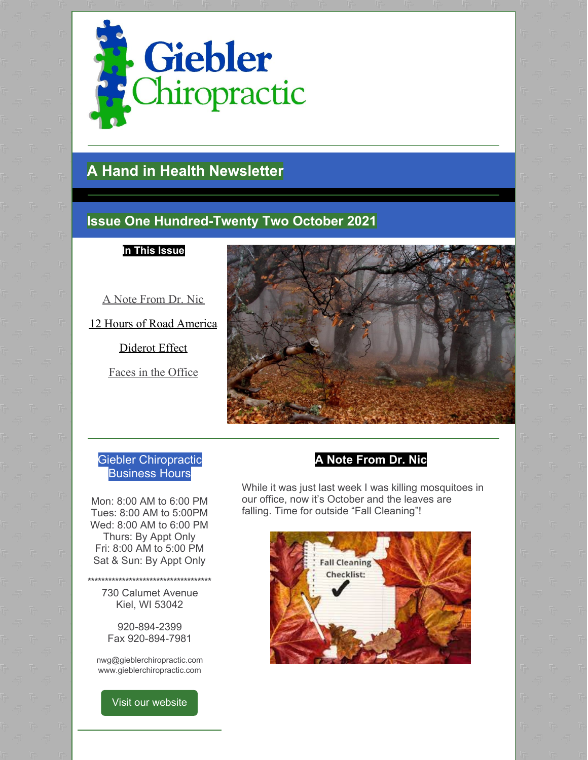

# **A Hand in Health Newsletter**

### **Issue One Hundred-Twenty Two October 2021**

**In This Issue**

A Note From Dr. Nic

12 Hours of Road America

Diderot Effect

Faces in the Office



#### Giebler Chiropractic Business Hours

Mon: 8:00 AM to 6:00 PM Tues: 8:00 AM to 5:00PM Wed: 8:00 AM to 6:00 PM Thurs: By Appt Only Fri: 8:00 AM to 5:00 PM Sat & Sun: By Appt Only

730 Calumet Avenue Kiel, WI 53042

**\*\*\*\*\*\*\*\*\*\*\*\*\*\*\*\*\*\*\*\*\*\*\*\*\*\*\*\*\*\*\*\*\*\*\*\***

920-894-2399 Fax 920-894-7981

nwg@gieblerchiropractic.com www.gieblerchiropractic.com

Visit our [website](http://www.gieblerchiropractic.com)

### **A Note From Dr. Nic**

While it was just last week I was killing mosquitoes in our office, now it's October and the leaves are falling. Time for outside "Fall Cleaning"!

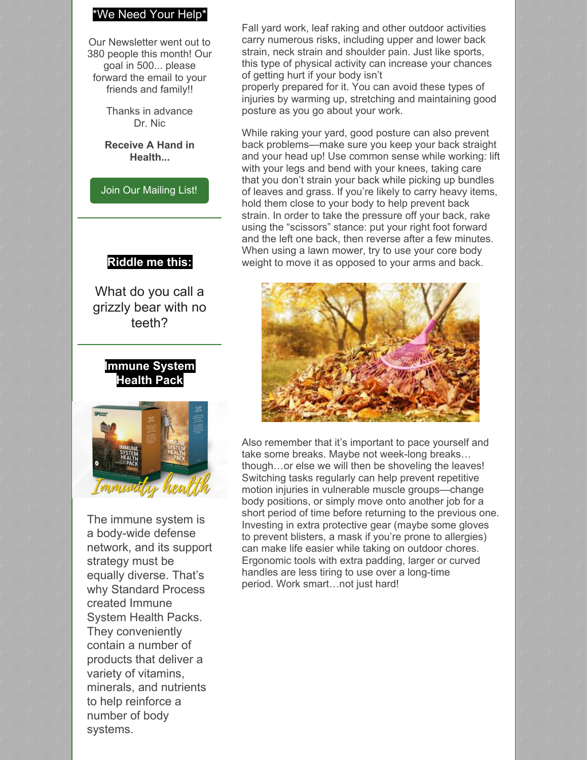### \*We Need Your Help\*

Our Newsletter went out to 380 people this month! Our goal in 500... please forward the email to your friends and family!!

> Thanks in advance Dr. Nic

**Receive A Hand in Health...**

Join Our [Mailing](http://www.gieblerchiropractic.com/newsletter/) List!

#### **Riddle me this:**

What do you call a grizzly bear with no teeth?





The immune system is a body-wide defense network, and its support strategy must be equally diverse. That's why Standard Process created Immune System Health Packs. They conveniently contain a number of products that deliver a variety of vitamins, minerals, and nutrients to help reinforce a number of body systems.

Fall yard work, leaf raking and other outdoor activities carry numerous risks, including upper and lower back strain, neck strain and shoulder pain. Just like sports, this type of physical activity can increase your chances of getting hurt if your body isn't

properly prepared for it. You can avoid these types of injuries by warming up, stretching and maintaining good posture as you go about your work.

While raking your yard, good posture can also prevent back problems—make sure you keep your back straight and your head up! Use common sense while working: lift with your legs and bend with your knees, taking care that you don't strain your back while picking up bundles of leaves and grass. If you're likely to carry heavy items, hold them close to your body to help prevent back strain. In order to take the pressure off your back, rake using the "scissors" stance: put your right foot forward and the left one back, then reverse after a few minutes. When using a lawn mower, try to use your core body weight to move it as opposed to your arms and back.



Also remember that it's important to pace yourself and take some breaks. Maybe not week-long breaks… though…or else we will then be shoveling the leaves! Switching tasks regularly can help prevent repetitive motion injuries in vulnerable muscle groups—change body positions, or simply move onto another job for a short period of time before returning to the previous one. Investing in extra protective gear (maybe some gloves to prevent blisters, a mask if you're prone to allergies) can make life easier while taking on outdoor chores. Ergonomic tools with extra padding, larger or curved handles are less tiring to use over a long-time period. Work smart…not just hard!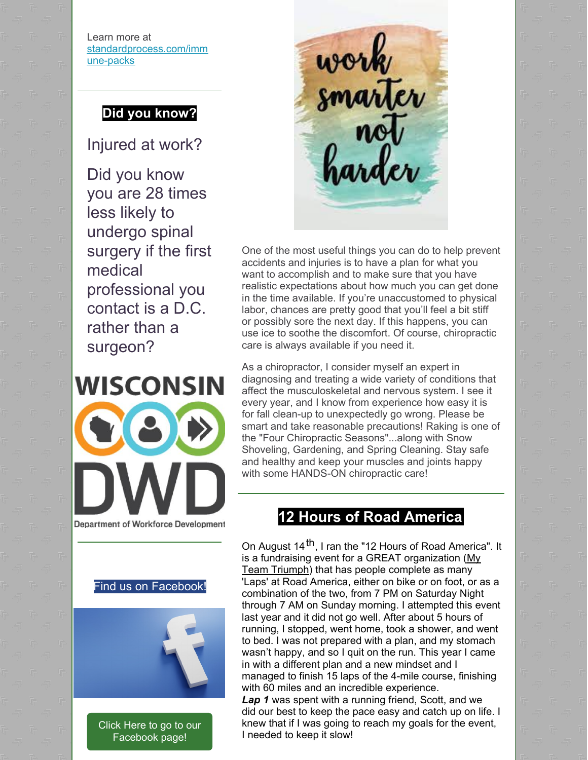Learn more at [standardprocess.com/imm](https://my.standardprocess.com/Products/Literature/Immune-System-Health-Packs-Flyer) une-packs

## **Did you know?**

Injured at work?

Did you know you are 28 times less likely to undergo spinal surgery if the first medical professional you contact is a D.C. rather than a surgeon?





One of the most useful things you can do to help prevent accidents and injuries is to have a plan for what you want to accomplish and to make sure that you have realistic expectations about how much you can get done in the time available. If you're unaccustomed to physical labor, chances are pretty good that you'll feel a bit stiff or possibly sore the next day. If this happens, you can use ice to soothe the discomfort. Of course, chiropractic care is always available if you need it.

As a chiropractor, I consider myself an expert in diagnosing and treating a wide variety of conditions that affect the musculoskeletal and nervous system. I see it every year, and I know from experience how easy it is for fall clean-up to unexpectedly go wrong. Please be smart and take reasonable precautions! Raking is one of the "Four Chiropractic Seasons"...along with Snow Shoveling, Gardening, and Spring Cleaning. Stay safe and healthy and keep your muscles and joints happy with some HANDS-ON chiropractic care!

## **12 Hours of Road America**

On August 14<sup>th</sup>, I ran the "12 Hours of Road America". It is a fundraising event for a GREAT [organization](https://www.myteamtriumph-wi.org/)  $(My)$ Team Triumph) that has people complete as many 'Laps' at Road America, either on bike or on foot, or as a combination of the two, from 7 PM on Saturday Night through 7 AM on Sunday morning. I attempted this event last year and it did not go well. After about 5 hours of running, I stopped, went home, took a shower, and went to bed. I was not prepared with a plan, and my stomach wasn't happy, and so I quit on the run. This year I came in with a different plan and a new mindset and I managed to finish 15 laps of the 4-mile course, finishing with 60 miles and an incredible experience. *Lap 1* was spent with a running friend, Scott, and we did our best to keep the pace easy and catch up on life. I knew that if I was going to reach my goals for the event,

I needed to keep it slow!



**Department of Workforce Development** 



Click Here to go to our [Facebook](https://www.facebook.com/gieblerchiro/) page!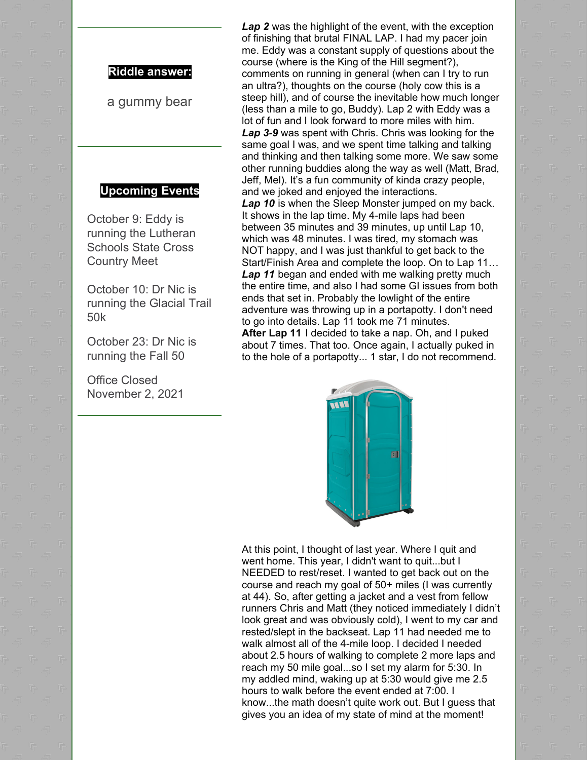#### **Riddle answer:**

a gummy bear

#### **Upcoming Events**

October 9: Eddy is running the Lutheran Schools State Cross Country Meet

October 10: Dr Nic is running the Glacial Trail 50k

October 23: Dr Nic is running the Fall 50

Office Closed November 2, 2021

*Lap 2* was the highlight of the event, with the exception of finishing that brutal FINAL LAP. I had my pacer join me. Eddy was a constant supply of questions about the course (where is the King of the Hill segment?), comments on running in general (when can I try to run an ultra?), thoughts on the course (holy cow this is a steep hill), and of course the inevitable how much longer (less than a mile to go, Buddy). Lap 2 with Eddy was a lot of fun and I look forward to more miles with him. *Lap 3-9* was spent with Chris. Chris was looking for the same goal I was, and we spent time talking and talking and thinking and then talking some more. We saw some other running buddies along the way as well (Matt, Brad, Jeff, Mel). It's a fun community of kinda crazy people, and we joked and enjoyed the interactions.

*Lap 10* is when the Sleep Monster jumped on my back. It shows in the lap time. My 4-mile laps had been between 35 minutes and 39 minutes, up until Lap 10, which was 48 minutes. I was tired, my stomach was NOT happy, and I was just thankful to get back to the Start/Finish Area and complete the loop. On to Lap 11… *Lap 11* began and ended with me walking pretty much the entire time, and also I had some GI issues from both ends that set in. Probably the lowlight of the entire adventure was throwing up in a portapotty. I don't need to go into details. Lap 11 took me 71 minutes. **After Lap 11** I decided to take a nap. Oh, and I puked

about 7 times. That too. Once again, I actually puked in to the hole of a portapotty... 1 star, I do not recommend.



At this point, I thought of last year. Where I quit and went home. This year, I didn't want to quit...but I NEEDED to rest/reset. I wanted to get back out on the course and reach my goal of 50+ miles (I was currently at 44). So, after getting a jacket and a vest from fellow runners Chris and Matt (they noticed immediately I didn't look great and was obviously cold), I went to my car and rested/slept in the backseat. Lap 11 had needed me to walk almost all of the 4-mile loop. I decided I needed about 2.5 hours of walking to complete 2 more laps and reach my 50 mile goal...so I set my alarm for 5:30. In my addled mind, waking up at 5:30 would give me 2.5 hours to walk before the event ended at 7:00. I know...the math doesn't quite work out. But I guess that gives you an idea of my state of mind at the moment!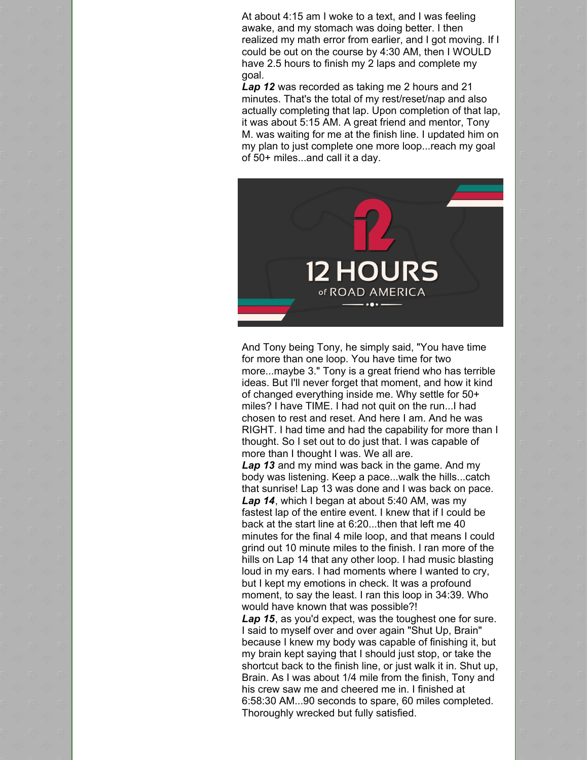At about 4:15 am I woke to a text, and I was feeling awake, and my stomach was doing better. I then realized my math error from earlier, and I got moving. If I could be out on the course by 4:30 AM, then I WOULD have 2.5 hours to finish my 2 laps and complete my goal.

*Lap 12* was recorded as taking me 2 hours and 21 minutes. That's the total of my rest/reset/nap and also actually completing that lap. Upon completion of that lap, it was about 5:15 AM. A great friend and mentor, Tony M. was waiting for me at the finish line. I updated him on my plan to just complete one more loop...reach my goal of 50+ miles...and call it a day.



And Tony being Tony, he simply said, "You have time for more than one loop. You have time for two more...maybe 3." Tony is a great friend who has terrible ideas. But I'll never forget that moment, and how it kind of changed everything inside me. Why settle for 50+ miles? I have TIME. I had not quit on the run...I had chosen to rest and reset. And here I am. And he was RIGHT. I had time and had the capability for more than I thought. So I set out to do just that. I was capable of more than I thought I was. We all are.

*Lap 13* and my mind was back in the game. And my body was listening. Keep a pace...walk the hills...catch that sunrise! Lap 13 was done and I was back on pace. *Lap 14*, which I began at about 5:40 AM, was my fastest lap of the entire event. I knew that if I could be back at the start line at 6:20...then that left me 40 minutes for the final 4 mile loop, and that means I could grind out 10 minute miles to the finish. I ran more of the hills on Lap 14 that any other loop. I had music blasting loud in my ears. I had moments where I wanted to cry, but I kept my emotions in check. It was a profound moment, to say the least. I ran this loop in 34:39. Who would have known that was possible?!

*Lap 15*, as you'd expect, was the toughest one for sure. I said to myself over and over again "Shut Up, Brain" because I knew my body was capable of finishing it, but my brain kept saying that I should just stop, or take the shortcut back to the finish line, or just walk it in. Shut up, Brain. As I was about 1/4 mile from the finish, Tony and his crew saw me and cheered me in. I finished at 6:58:30 AM...90 seconds to spare, 60 miles completed. Thoroughly wrecked but fully satisfied.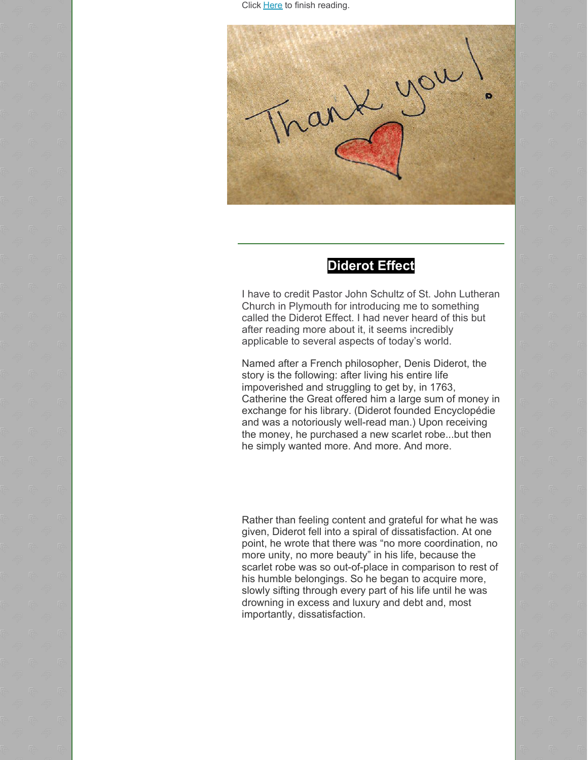Click [Here](https://gieblerchiropractic.blogspot.com/2021/10/12-hours-of-road-america.html) to finish reading.



### **Diderot Effect**

I have to credit Pastor John Schultz of St. John Lutheran Church in Plymouth for introducing me to something called the Diderot Effect. I had never heard of this but after reading more about it, it seems incredibly applicable to several aspects of today's world.

Named after a French philosopher, Denis Diderot, the story is the following: after living his entire life impoverished and struggling to get by, in 1763, Catherine the Great offered him a large sum of money in exchange for his library. (Diderot founded Encyclopédie and was a notoriously well-read man.) Upon receiving the money, he purchased a new scarlet robe...but then he simply wanted more. And more. And more.

Rather than feeling content and grateful for what he was given, Diderot fell into a spiral of dissatisfaction. At one point, he wrote that there was "no more coordination, no more unity, no more beauty" in his life, because the scarlet robe was so out-of-place in comparison to rest of his humble belongings. So he began to acquire more, slowly sifting through every part of his life until he was drowning in excess and luxury and debt and, most importantly, dissatisfaction.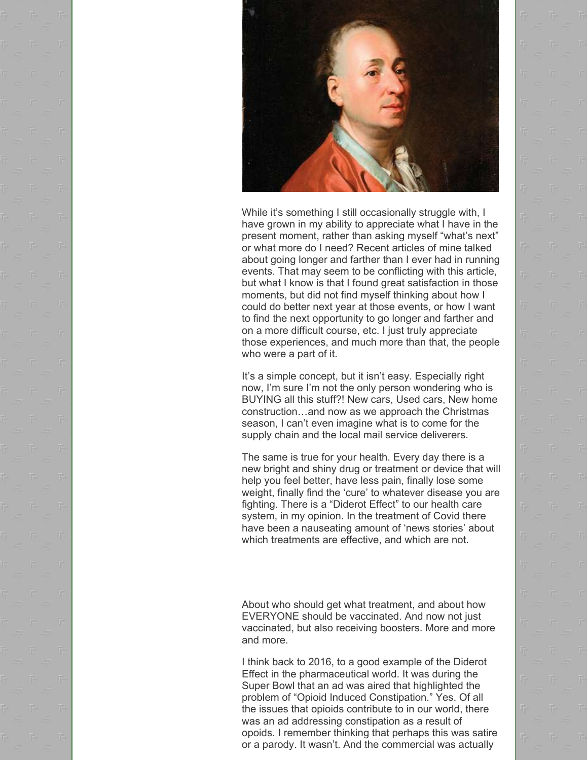

While it's something I still occasionally struggle with, I have grown in my ability to appreciate what I have in the present moment, rather than asking myself "what's next" or what more do I need? Recent articles of mine talked about going longer and farther than I ever had in running events. That may seem to be conflicting with this article, but what I know is that I found great satisfaction in those moments, but did not find myself thinking about how I could do better next year at those events, or how I want to find the next opportunity to go longer and farther and on a more difficult course, etc. I just truly appreciate those experiences, and much more than that, the people who were a part of it.

It's a simple concept, but it isn't easy. Especially right now, I'm sure I'm not the only person wondering who is BUYING all this stuff?! New cars, Used cars, New home construction…and now as we approach the Christmas season, I can't even imagine what is to come for the supply chain and the local mail service deliverers.

The same is true for your health. Every day there is a new bright and shiny drug or treatment or device that will help you feel better, have less pain, finally lose some weight, finally find the 'cure' to whatever disease you are fighting. There is a "Diderot Effect" to our health care system, in my opinion. In the treatment of Covid there have been a nauseating amount of 'news stories' about which treatments are effective, and which are not.

About who should get what treatment, and about how EVERYONE should be vaccinated. And now not just vaccinated, but also receiving boosters. More and more and more.

I think back to 2016, to a good example of the Diderot Effect in the pharmaceutical world. It was during the Super Bowl that an ad was aired that highlighted the problem of "Opioid Induced Constipation." Yes. Of all the issues that opioids contribute to in our world, there was an ad addressing constipation as a result of opoids. I remember thinking that perhaps this was satire or a parody. It wasn't. And the commercial was actually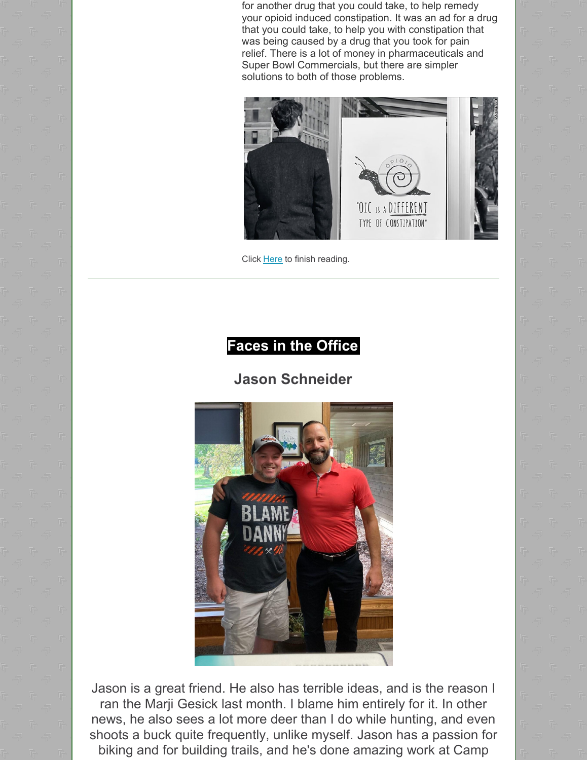for another drug that you could take, to help remedy your opioid induced constipation. It was an ad for a drug that you could take, to help you with constipation that was being caused by a drug that you took for pain relief. There is a lot of money in pharmaceuticals and Super Bowl Commercials, but there are simpler solutions to both of those problems.



Click [Here](https://gieblerchiropractic.blogspot.com/2021/10/diderot-effect.html) to finish reading.

# **Faces in the Office**

### **Jason Schneider**



Jason is a great friend. He also has terrible ideas, and is the reason I ran the Marji Gesick last month. I blame him entirely for it. In other news, he also sees a lot more deer than I do while hunting, and even shoots a buck quite frequently, unlike myself. Jason has a passion for biking and for building trails, and he's done amazing work at Camp